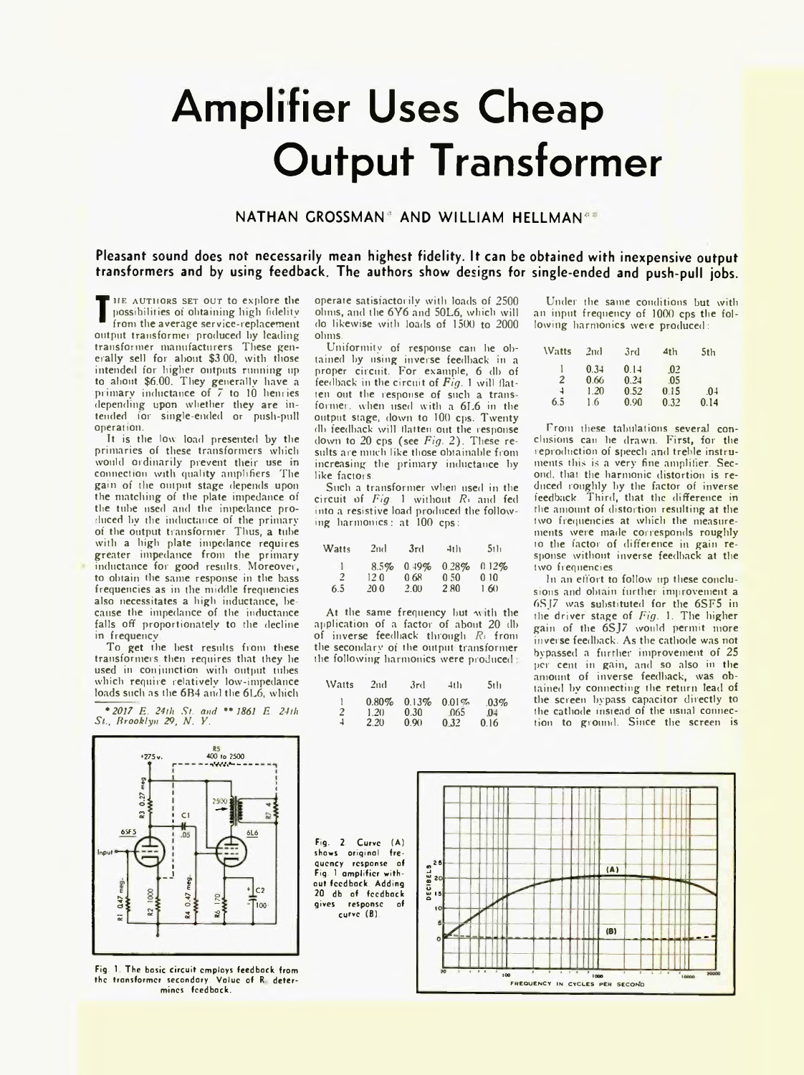## **Amplifier Uses Cheap Output Transformer**

## NATHAN GROSSMAN<sup>®</sup> AND WILLIAM HELLMAN<sup>&#</sup>

Pleasant sound does not necessarily mean highest fidelity. It can be obtained with inexpensive output transformers and by using feedback. The authors show designs for single-ended and push-pull jobs.

**T**from the average service-replacement
output transformer produced by leading HE AUTHORS SET OUT to explore the possibilities of obtaining high fidelity from the average service-replacement transformer manufacturers. These generally sell for about \$3.00, with those intended for higher outputs running up to about \$6.00, They generally have a primary inductance of 7 to 10 henries depending upon whether they are intended for single-ended or push-pull operation.

It is the low load presented by the primaries of these transformers which would ordinarily prevent their use in connection with quality amplifiers. The gain of the output stage depends upon the matching of the plate impedance of the tube used and the impedance produced by the inductance of the primary of the output transformer. Thus, a tube with a high plate impedance requires greater impedance from the primary inductance for good results. Moreover, to obtain the same response in the bass frequencies as in the middle frequencies also necessitates a high inductance, because the impedance of the inductance falls off proportionately to the decline in frequency.

To get the best results from these transformers then requires that they he used in conjunction with output tubes which require relatively low-impedance loads such as the 6B4 and the 6L6, which

*\*2017 E. 24th St. and \* \*3861 E. 24th St., Brooklyn 29, N . Y.*



Fig. 1. The basic circuit employs feedback from the transformer secondary. Value of R determines feedback.

operate satisfactorily with loads of 2500 ohms, and the 6Y6 and 50L6, which will do likewise with loads of 1500 to 2000 ohms.

Uniformity of response can he obtained by using inverse feedback in a proper circuit. For example, 6 db of feedback in the circuit of *Fig.* 1 will flatten out the response of such a transformer. when used with a 6L6 in the output stage, down to 100 cps. Twenty dh feedback will flatten out the response down to 20 cps (see *Fig.* 2). These results are much like those obtainable from increasing the primary inductance by like factors.

Such a transformer when used in the circuit of *Fig.* 1 without *Rs* and fed into a resistive load produced the following harmonics: at 100 cps:

| Watts    | 2 <sub>nd</sub>     | 3rd                   | $-11h$               | 511                  |
|----------|---------------------|-----------------------|----------------------|----------------------|
| 2<br>6.5 | 8.5%<br>120<br>20.0 | 0.19%<br>0.68<br>2.00 | 0.28%<br>0.50<br>280 | 0.12%<br>010<br>1.60 |

At the same frequency but with the application of a factor of about 20 db of inverse feedback through *Rs* from the secondary of the output transformer the following harmonics were produced

| Watts  | 2nd                      | 3rd                   | 41h                   | 5th                 |
|--------|--------------------------|-----------------------|-----------------------|---------------------|
| 2<br>4 | $0.80\%$<br>1.20<br>2.20 | 0.13%<br>0.30<br>0.90 | 0.01%<br>.065<br>0.32 | .03%<br>.04<br>0.16 |

Under the same conditions but with an input frequency of 1000 cps the following harmonics were produced:

| <b>Watts</b> | 2nd  | 3rd  | 4 <sub>th</sub> | 5th    |
|--------------|------|------|-----------------|--------|
|              | 0.34 | 0.14 | 0 <sup>2</sup>  |        |
| 2            | 0.66 | 0.24 | .05             |        |
| 4            | 1.20 | 0.52 | 0.15            | $.0 +$ |
| 6.5          | 1.6  | 0.90 | 0.32            | 0.14   |

From these tabulations several conclusions can he drawn. First, for the reproduction of speech and treble instruments this is a very fine amplifier. Second, that the harmonic distortion is reduced roughly by the factor of inverse feedback. Third, that the difference in the amount of distortion resulting at the two frequencies at which the measurements were made corresponds roughly to the factor of difference in gain response without inverse feedback at the two frequencies.

In an effort to follow up these conclusions and obtain further improvement a 6SJ7 was substituted for the 6SF5 in the driver stage of *Fig.* 1. The higher gain of the 6SJ7 would permit more inverse feedback. As the cathode was not bypassed a further improvement of 25 per cent in gain, and so also in the amount of inverse feedback, was obtained by connecting the return lead of the screen bypass capacitor directly to the cathode instead of the usual connection to ground. Since the screen is

Fig. 2. Curve (A) shows original frequency response of Fig. 1 amplifier without feedback. Adding 20 db of feedback gives response of curve (B).

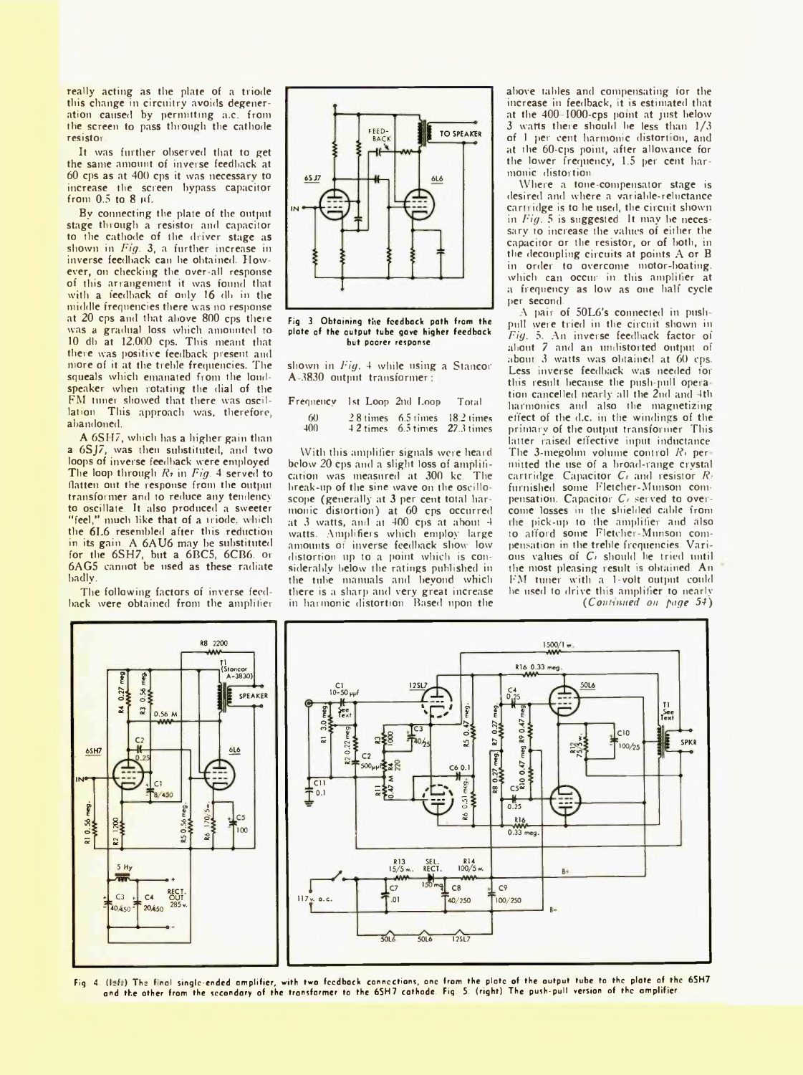really acting as the plate of a triode this change in circuitry avoids degeneration caused by permitting a.c. from the screen to pass through the cathode resistor.

It was further observed that to get the same amount of inverse feedback at 60 cps as at 400 cps it was necessary to increase the screen bypass capacitor from 0.5 to 8 uf.

By connecting the plate of the output stage through a resistor and capacitor to the cathode of the driver stage as shown in *Fig.* 3, a further increase in inverse feedback can he obtained. However, on checking the over-all response of this arrangement it was found that with a feedback of only 16 dh in the middle frequencies there was no response at 20 cps and that above 800 cps there was a gradual loss which amounted to 10 db at 12,000 cps. This meant that there was positive feedback present and more of it at the treble frequencies. The squeals which emanated from the loudspeaker when rotating the dial of the FM tuner showed that there was oscillation. This approach was, therefore, abandoned.

A 6SH7, which has a higher gain than a 6SJ7, was then substituted, and two loops of inverse feedback were employed. The loop through R<sub>2</sub> in *Fig.* 4 served to flatten out the response from the output transformer and to reduce any tendency to oscillate. It also produced a sweeter "feel," much like that of a triode. which the 6L6 resembled after this reduction in its gain. A 6AU6 may be substituted for the 6SH7, but a 6BC5, 6CB6. or 6AG5 cannot be used as these radiate badly.

The following factors of inverse feedback were obtained from the amplifier



Fig. 3. Obtaining the feedback path from the plate of the output tube gave higher feedback but poorer response.

shown in *Fig.* 4 while using a Stancor A 3830 output transformer;

| $\mathbf F$ requenc $\mathbf v$ | 1st Loop 2nd Loop                                                                    | Total |
|---------------------------------|--------------------------------------------------------------------------------------|-------|
| 60<br>$+00$                     | 2.8 times 6.5 times 18.2 times<br>$4.2 \text{ times}$ 6.5 times $27.3 \text{ times}$ |       |

With this amplifier signals were heard below 20 cps and a slight loss of amplification was measured at 300 kc. The break-up of the sine wave on the oscilloscope (generally at 3 per cent total harmonic distortion) at 60 cps occurred at 3 watts, and at 400 cps at about 4 watts. Amplifiers which employ large amounts of inverse feedback show low distortion up to a point which is considerably below the ratings published in the tube manuals and beyond which there is a sharp and very great increase in harmonic distortion. Based upon the above tables and compensating for the increase in feedback, it is estimated that at the 400-1000-cps point at just below 3 watts there should be less than 1/3 of 1 per cent harmonic distortion, and at the 60-cps point, after allowance for the lower frequency, 1.5 per cent harmonic distortion.

Where a tone-compensator stage is desired and where a variable-reluctance cartridge is to he used, the circuit shown in *Fig.* 5 is suggested. It may be necessary to increase the values of either the capacitor or the resistor, or of both, in the decoupling circuits at points A or B in order to overcome motor-boating, which can occur in this amplifier at a frequency as low as one half cycle per second.

A pair of 50L6's connected in pushpull were tried in the circuit shown in *Fig.* 5. An inverse feedback factor of about 7 and an undistorted output of about 3 watts was obtained at 60 cps. Less inverse feedback was needed for this result because the push-pull operation cancelled nearly all the 2nd and 4th harmonics and also the magnetizing effect of the d.c. in the windings of the primary of the output transformer. This latter raised effective input inductance. The 3-megohm volume control *Rt* per niitted the use of a broad-range crystal cartridge. Capacitor *C*<sub>t</sub> and resistor *R*<sup>2</sup> furnished some Fletcher-Munson compensation. Capacitor *Ci* served to overcome losses in the shielded cable from the pick-up to the amplifier and also to afford some Fletcher-Munson compensation in the treble frequencies. Various values of *C<sub>t</sub>* should be tried until the most pleasing result is obtained. An FM tuner with a 1-volt output could he used to drive this amplifier to nearly *(Continued on page 54)*



Fig. 4. (Isti) The final single-ended amplifier, with two feedback connections, one from the plate of the output tube to the plate of the 6SH7 and the other from the secondary of the transformer to the 6SH7 cathode. Fig. 5. (right) The push-pull version of the amplifier.